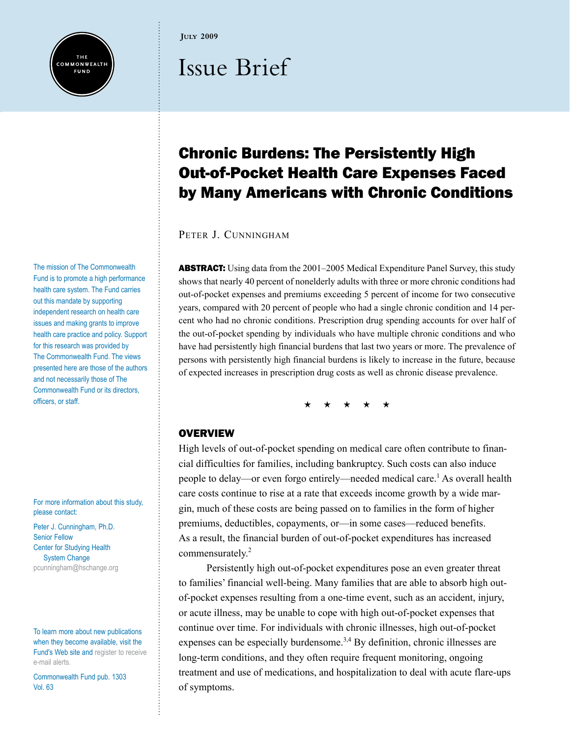

The mission of The Commonwealth Fund is to promote a high performance health care system. The Fund carries out this mandate by supporting independent research on health care issues and making grants to improve health care practice and policy. Support for this research was provided by The Commonwealth Fund. The views presented here are those of the authors and not necessarily those of The Commonwealth Fund or its directors, officers, or staff.

For more information about this study, please contact:

Peter J. Cunningham, Ph.D. Senior Fellow Center for Studying Health System Change [pcunningham@hschange.org](mailto:pcunningham@hschange.org)

To learn more about new publications when they become available, visit the Fund's Web site and [register to receive](http://www.commonwealthfund.org/myprofile/myprofile_edit.htm)  [e-mail alerts](http://www.commonwealthfund.org/myprofile/myprofile_edit.htm).

Commonwealth Fund pub. 1303 Vol. 63

#### **July 2009**

# Issue Brief

# Chronic Burdens: The Persistently High Out-of-Pocket Health Care Expenses Faced by Many Americans with Chronic Conditions

PETER J. CUNNINGHAM

**ABSTRACT:** Using data from the 2001–2005 Medical Expenditure Panel Survey, this study shows that nearly 40 percent of nonelderly adults with three or more chronic conditions had out-of-pocket expenses and premiums exceeding 5 percent of income for two consecutive years, compared with 20 percent of people who had a single chronic condition and 14 percent who had no chronic conditions. Prescription drug spending accounts for over half of the out-of-pocket spending by individuals who have multiple chronic conditions and who have had persistently high financial burdens that last two years or more. The prevalence of persons with persistently high financial burdens is likely to increase in the future, because of expected increases in prescription drug costs as well as chronic disease prevalence.

\* \* \* \* \*

# **OVERVIEW**

High levels of out-of-pocket spending on medical care often contribute to financial difficulties for families, including bankruptcy. Such costs can also induce people to delay—or even forgo entirely—needed medical care.<sup>1</sup> As overall health care costs continue to rise at a rate that exceeds income growth by a wide margin, much of these costs are being passed on to families in the form of higher premiums, deductibles, copayments, or—in some cases—reduced benefits. As a result, the financial burden of out-of-pocket expenditures has increased commensurately.<sup>2</sup>

Persistently high out-of-pocket expenditures pose an even greater threat to families' financial well-being. Many families that are able to absorb high outof-pocket expenses resulting from a one-time event, such as an accident, injury, or acute illness, may be unable to cope with high out-of-pocket expenses that continue over time. For individuals with chronic illnesses, high out-of-pocket expenses can be especially burdensome.<sup>3,4</sup> By definition, chronic illnesses are long-term conditions, and they often require frequent monitoring, ongoing treatment and use of medications, and hospitalization to deal with acute flare-ups of symptoms.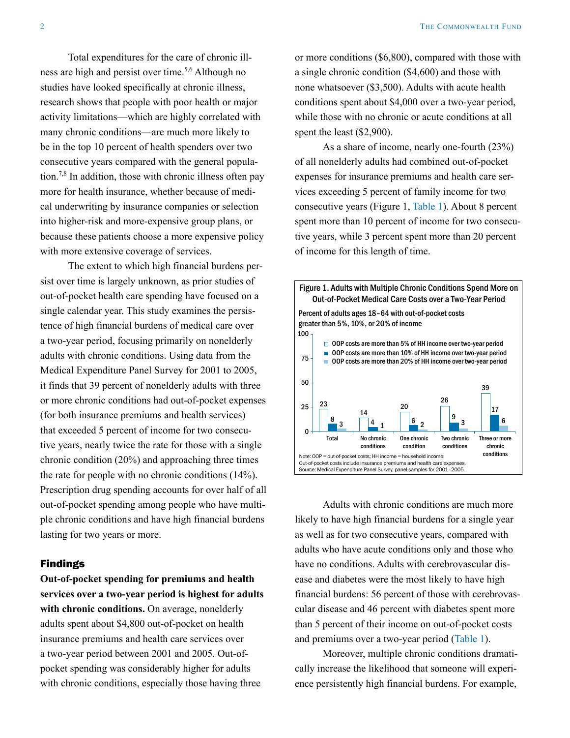Total expenditures for the care of chronic illness are high and persist over time.<sup>5,6</sup> Although no studies have looked specifically at chronic illness, research shows that people with poor health or major activity limitations—which are highly correlated with many chronic conditions—are much more likely to be in the top 10 percent of health spenders over two consecutive years compared with the general population.<sup>7,8</sup> In addition, those with chronic illness often pay more for health insurance, whether because of medical underwriting by insurance companies or selection into higher-risk and more-expensive group plans, or because these patients choose a more expensive policy with more extensive coverage of services.

The extent to which high financial burdens persist over time is largely unknown, as prior studies of out-of-pocket health care spending have focused on a single calendar year. This study examines the persistence of high financial burdens of medical care over a two-year period, focusing primarily on nonelderly adults with chronic conditions. Using data from the Medical Expenditure Panel Survey for 2001 to 2005, it finds that 39 percent of nonelderly adults with three or more chronic conditions had out-of-pocket expenses (for both insurance premiums and health services) that exceeded 5 percent of income for two consecutive years, nearly twice the rate for those with a single chronic condition (20%) and approaching three times the rate for people with no chronic conditions (14%). Prescription drug spending accounts for over half of all out-of-pocket spending among people who have multiple chronic conditions and have high financial burdens lasting for two years or more.

# Findings

**Out-of-pocket spending for premiums and health services over a two-year period is highest for adults**  with chronic conditions. On average, nonelderly adults spent about \$4,800 out-of-pocket on health insurance premiums and health care services over a two-year period between 2001 and 2005. Out-ofpocket spending was considerably higher for adults with chronic conditions, especially those having three

or more conditions (\$6,800), compared with those with a single chronic condition (\$4,600) and those with none whatsoever (\$3,500). Adults with acute health conditions spent about \$4,000 over a two-year period, while those with no chronic or acute conditions at all spent the least (\$2,900).

As a share of income, nearly one-fourth (23%) of all nonelderly adults had combined out-of-pocket expenses for insurance premiums and health care services exceeding 5 percent of family income for two consecutive years (Figure 1, [Table 1\)](#page-7-0). About 8 percent spent more than 10 percent of income for two consecutive years, while 3 percent spent more than 20 percent of income for this length of time.



Adults with chronic conditions are much more likely to have high financial burdens for a single year as well as for two consecutive years, compared with adults who have acute conditions only and those who have no conditions. Adults with cerebrovascular disease and diabetes were the most likely to have high financial burdens: 56 percent of those with cerebrovascular disease and 46 percent with diabetes spent more than 5 percent of their income on out-of-pocket costs and premiums over a two-year period [\(Table 1\)](#page-7-0).

Moreover, multiple chronic conditions dramatically increase the likelihood that someone will experience persistently high financial burdens. For example,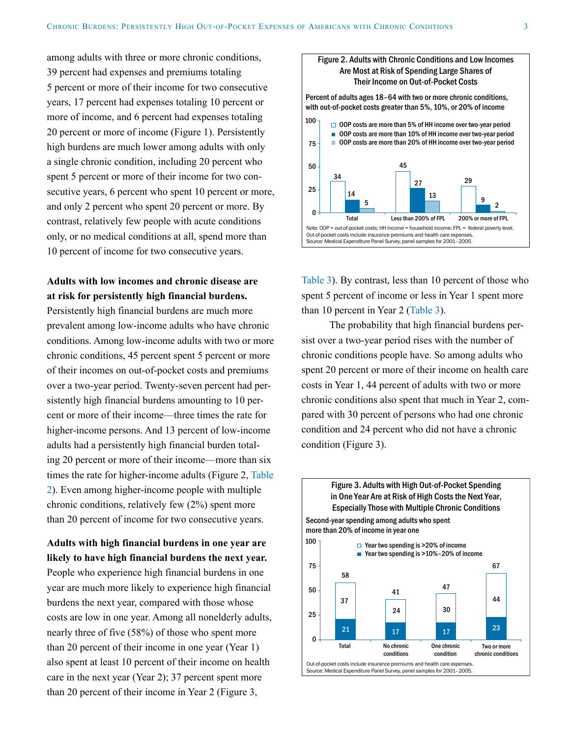among adults with three or more chronic conditions, 39 percent had expenses and premiums totaling 5 percent or more of their income for two consecutive years, 17 percent had expenses totaling 10 percent or more of income, and 6 percent had expenses totaling 20 percent or more of income (Figure 1). Persistently high burdens are much lower among adults with only a single chronic condition, including 20 percent who spent 5 percent or more of their income for two consecutive years, 6 percent who spent 10 percent or more, and only 2 percent who spent 20 percent or more. By contrast, relatively few people with acute conditions only, or no medical conditions at all, spend more than 10 percent of income for two consecutive years.

# **Adults with low incomes and chronic disease are at risk for persistently high financial burdens.**

Persistently high financial burdens are much more prevalent among low-income adults who have chronic conditions. Among low-income adults with two or more chronic conditions, 45 percent spent 5 percent or more of their incomes on out-of-pocket costs and premiums over a two-year period. Twenty-seven percent had persistently high financial burdens amounting to 10 percent or more of their income—three times the rate for higher-income persons. And 13 percent of low-income adults had a persistently high financial burden totaling 20 percent or more of their income—more than six times the rate for higher-income adults (Figure 2, [Table](#page-8-0)  [2\)](#page-8-0). Even among higher-income people with multiple chronic conditions, relatively few (2%) spent more than 20 percent of income for two consecutive years.

**Adults with high financial burdens in one year are likely to have high financial burdens the next year.** People who experience high financial burdens in one year are much more likely to experience high financial burdens the next year, compared with those whose costs are low in one year. Among all nonelderly adults, nearly three of five (58%) of those who spent more than 20 percent of their income in one year (Year 1) also spent at least 10 percent of their income on health care in the next year (Year 2); 37 percent spent more than 20 percent of their income in Year 2 (Figure 3,



[Table 3\)](#page-9-0). By contrast, less than 10 percent of those who spent 5 percent of income or less in Year 1 spent more than 10 percent in Year 2 [\(Table 3\)](#page-9-0).

The probability that high financial burdens persist over a two-year period rises with the number of chronic conditions people have. So among adults who spent 20 percent or more of their income on health care costs in Year 1, 44 percent of adults with two or more chronic conditions also spent that much in Year 2, compared with 30 percent of persons who had one chronic condition and 24 percent who did not have a chronic condition (Figure 3).

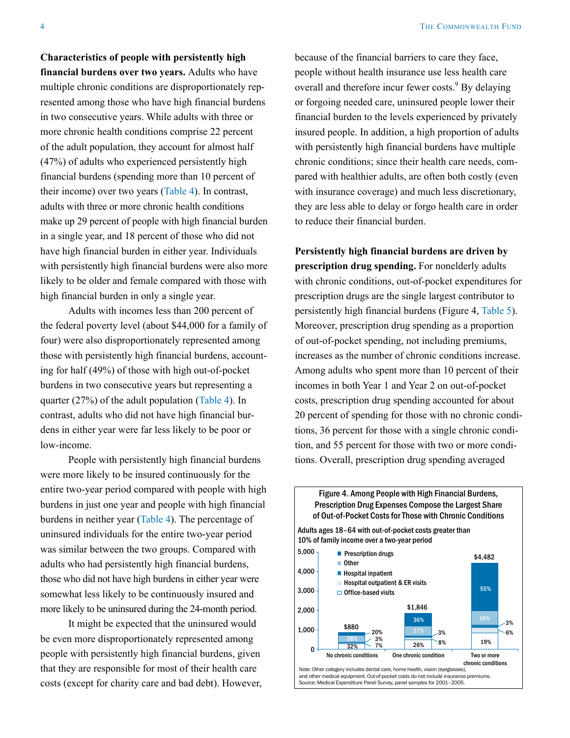**Characteristics of people with persistently high** 

**financial burdens over two years.** Adults who have multiple chronic conditions are disproportionately represented among those who have high financial burdens in two consecutive years. While adults with three or more chronic health conditions comprise 22 percent of the adult population, they account for almost half (47%) of adults who experienced persistently high financial burdens (spending more than 10 percent of their income) over two years [\(Table 4\)](#page-10-0). In contrast, adults with three or more chronic health conditions make up 29 percent of people with high financial burden in a single year, and 18 percent of those who did not have high financial burden in either year. Individuals with persistently high financial burdens were also more likely to be older and female compared with those with high financial burden in only a single year.

Adults with incomes less than 200 percent of the federal poverty level (about \$44,000 for a family of four) were also disproportionately represented among those with persistently high financial burdens, accounting for half (49%) of those with high out-of-pocket burdens in two consecutive years but representing a quarter (27%) of the adult population ([Table 4](#page-10-0)). In contrast, adults who did not have high financial burdens in either year were far less likely to be poor or low-income.

People with persistently high financial burdens were more likely to be insured continuously for the entire two-year period compared with people with high burdens in just one year and people with high financial burdens in neither year ([Table 4](#page-10-0)). The percentage of uninsured individuals for the entire two-year period was similar between the two groups. Compared with adults who had persistently high financial burdens, those who did not have high burdens in either year were somewhat less likely to be continuously insured and more likely to be uninsured during the 24-month period.

It might be expected that the uninsured would be even more disproportionately represented among people with persistently high financial burdens, given that they are responsible for most of their health care costs (except for charity care and bad debt). However, because of the financial barriers to care they face, people without health insurance use less health care overall and therefore incur fewer costs.<sup>9</sup> By delaying or forgoing needed care, uninsured people lower their financial burden to the levels experienced by privately insured people. In addition, a high proportion of adults with persistently high financial burdens have multiple chronic conditions; since their health care needs, compared with healthier adults, are often both costly (even with insurance coverage) and much less discretionary, they are less able to delay or forgo health care in order to reduce their financial burden.

**Persistently high financial burdens are driven by prescription drug spending.** For nonelderly adults with chronic conditions, out-of-pocket expenditures for prescription drugs are the single largest contributor to persistently high financial burdens (Figure 4, [Table 5\)](#page-11-0). Moreover, prescription drug spending as a proportion of out-of-pocket spending, not including premiums, increases as the number of chronic conditions increase. Among adults who spent more than 10 percent of their incomes in both Year 1 and Year 2 on out-of-pocket costs, prescription drug spending accounted for about 20 percent of spending for those with no chronic conditions, 36 percent for those with a single chronic condition, and 55 percent for those with two or more conditions. Overall, prescription drug spending averaged

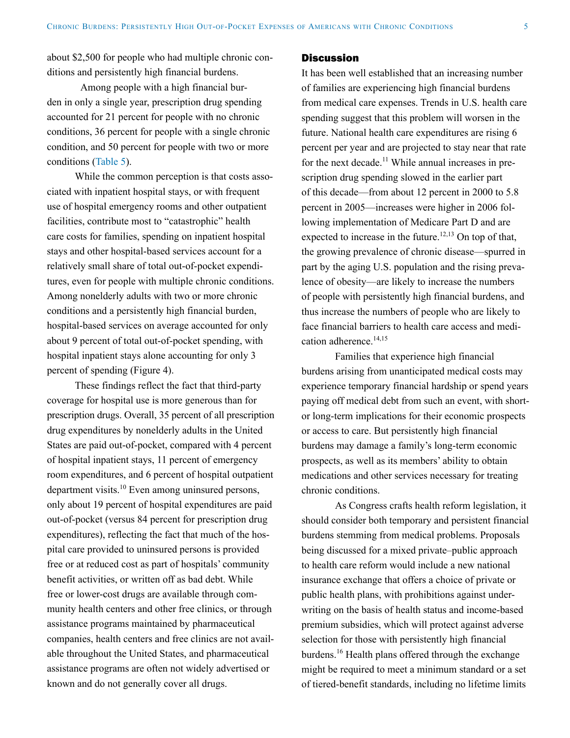about \$2,500 for people who had multiple chronic conditions and persistently high financial burdens.

Among people with a high financial burden in only a single year, prescription drug spending accounted for 21 percent for people with no chronic conditions, 36 percent for people with a single chronic condition, and 50 percent for people with two or more conditions ([Table 5](#page-11-0)).

While the common perception is that costs associated with inpatient hospital stays, or with frequent use of hospital emergency rooms and other outpatient facilities, contribute most to "catastrophic" health care costs for families, spending on inpatient hospital stays and other hospital-based services account for a relatively small share of total out-of-pocket expenditures, even for people with multiple chronic conditions. Among nonelderly adults with two or more chronic conditions and a persistently high financial burden, hospital-based services on average accounted for only about 9 percent of total out-of-pocket spending, with hospital inpatient stays alone accounting for only 3 percent of spending (Figure 4).

These findings reflect the fact that third-party coverage for hospital use is more generous than for prescription drugs. Overall, 35 percent of all prescription drug expenditures by nonelderly adults in the United States are paid out-of-pocket, compared with 4 percent of hospital inpatient stays, 11 percent of emergency room expenditures, and 6 percent of hospital outpatient department visits.10 Even among uninsured persons, only about 19 percent of hospital expenditures are paid out-of-pocket (versus 84 percent for prescription drug expenditures), reflecting the fact that much of the hospital care provided to uninsured persons is provided free or at reduced cost as part of hospitals' community benefit activities, or written off as bad debt. While free or lower-cost drugs are available through community health centers and other free clinics, or through assistance programs maintained by pharmaceutical companies, health centers and free clinics are not available throughout the United States, and pharmaceutical assistance programs are often not widely advertised or known and do not generally cover all drugs.

#### **Discussion**

It has been well established that an increasing number of families are experiencing high financial burdens from medical care expenses. Trends in U.S. health care spending suggest that this problem will worsen in the future. National health care expenditures are rising 6 percent per year and are projected to stay near that rate for the next decade.<sup>11</sup> While annual increases in prescription drug spending slowed in the earlier part of this decade—from about 12 percent in 2000 to 5.8 percent in 2005—increases were higher in 2006 following implementation of Medicare Part D and are expected to increase in the future.<sup>12,13</sup> On top of that, the growing prevalence of chronic disease—spurred in part by the aging U.S. population and the rising prevalence of obesity—are likely to increase the numbers of people with persistently high financial burdens, and thus increase the numbers of people who are likely to face financial barriers to health care access and medication adherence. $14,15$ 

Families that experience high financial burdens arising from unanticipated medical costs may experience temporary financial hardship or spend years paying off medical debt from such an event, with shortor long-term implications for their economic prospects or access to care. But persistently high financial burdens may damage a family's long-term economic prospects, as well as its members' ability to obtain medications and other services necessary for treating chronic conditions.

As Congress crafts health reform legislation, it should consider both temporary and persistent financial burdens stemming from medical problems. Proposals being discussed for a mixed private–public approach to health care reform would include a new national insurance exchange that offers a choice of private or public health plans, with prohibitions against underwriting on the basis of health status and income-based premium subsidies, which will protect against adverse selection for those with persistently high financial burdens.16 Health plans offered through the exchange might be required to meet a minimum standard or a set of tiered-benefit standards, including no lifetime limits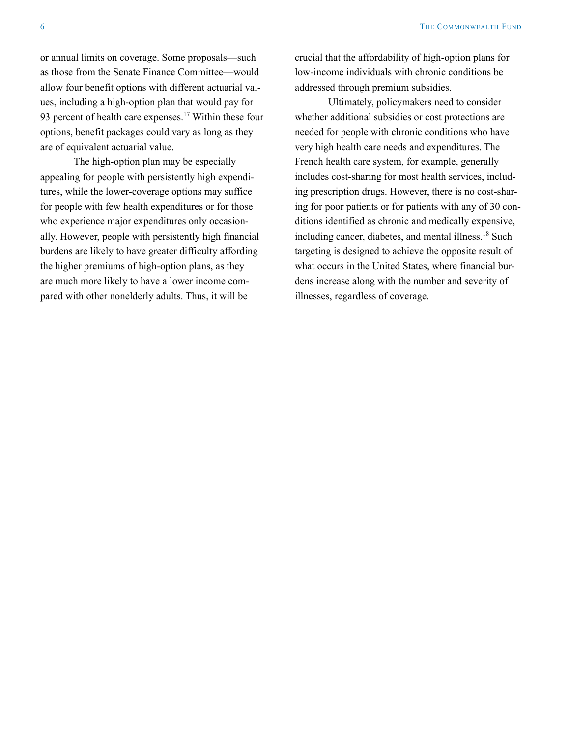or annual limits on coverage. Some proposals—such as those from the Senate Finance Committee—would allow four benefit options with different actuarial values, including a high-option plan that would pay for 93 percent of health care expenses. $17$  Within these four options, benefit packages could vary as long as they are of equivalent actuarial value.

The high-option plan may be especially appealing for people with persistently high expenditures, while the lower-coverage options may suffice for people with few health expenditures or for those who experience major expenditures only occasionally. However, people with persistently high financial burdens are likely to have greater difficulty affording the higher premiums of high-option plans, as they are much more likely to have a lower income compared with other nonelderly adults. Thus, it will be

crucial that the affordability of high-option plans for low-income individuals with chronic conditions be addressed through premium subsidies.

Ultimately, policymakers need to consider whether additional subsidies or cost protections are needed for people with chronic conditions who have very high health care needs and expenditures. The French health care system, for example, generally includes cost-sharing for most health services, including prescription drugs. However, there is no cost-sharing for poor patients or for patients with any of 30 conditions identified as chronic and medically expensive, including cancer, diabetes, and mental illness.18 Such targeting is designed to achieve the opposite result of what occurs in the United States, where financial burdens increase along with the number and severity of illnesses, regardless of coverage.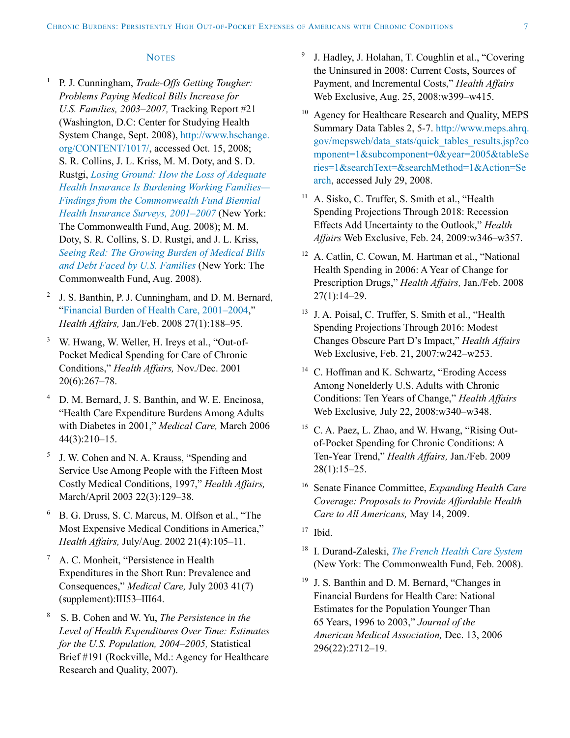#### **NOTES**

- <sup>1</sup> P. J. Cunningham, *Trade-Offs Getting Tougher: Problems Paying Medical Bills Increase for U.S. Families, 2003–2007,* Tracking Report #21 (Washington, D.C: Center for Studying Health System Change, Sept. 2008), [http://www.hschange.](http://www.hschange.org/CONTENT/1017/) [org/CONTENT/1017/](http://www.hschange.org/CONTENT/1017/), accessed Oct. 15, 2008; S. R. Collins, J. L. Kriss, M. M. Doty, and S. D. Rustgi, *[Losing Ground: How the Loss of Adequate](http://www.commonwealthfund.org/Content/Publications/Fund-Reports/2008/Aug/Losing-Ground--How-the-Loss-of-Adequate-Health-Insurance-Is-Burdening-Working-Families--8212-Finding.aspx)  [Health Insurance Is Burdening Working Families—](http://www.commonwealthfund.org/Content/Publications/Fund-Reports/2008/Aug/Losing-Ground--How-the-Loss-of-Adequate-Health-Insurance-Is-Burdening-Working-Families--8212-Finding.aspx) [Findings from the Commonwealth Fund Biennial](http://www.commonwealthfund.org/Content/Publications/Fund-Reports/2008/Aug/Losing-Ground--How-the-Loss-of-Adequate-Health-Insurance-Is-Burdening-Working-Families--8212-Finding.aspx)  [Health Insurance Surveys, 2001–2007](http://www.commonwealthfund.org/Content/Publications/Fund-Reports/2008/Aug/Losing-Ground--How-the-Loss-of-Adequate-Health-Insurance-Is-Burdening-Working-Families--8212-Finding.aspx)* (New York: The Commonwealth Fund, Aug. 2008); M. M. Doty, S. R. Collins, S. D. Rustgi, and J. L. Kriss, *[Seeing Red: The Growing Burden of Medical Bills](http://www.commonwealthfund.org/Content/Publications/Issue-Briefs/2008/Aug/Seeing-Red--The-Growing-Burden-of-Medical-Bills-and-Debt-Faced-by-U-S--Families.aspx)  [and Debt Faced by U.S. Families](http://www.commonwealthfund.org/Content/Publications/Issue-Briefs/2008/Aug/Seeing-Red--The-Growing-Burden-of-Medical-Bills-and-Debt-Faced-by-U-S--Families.aspx)* (New York: The Commonwealth Fund, Aug. 2008).
- <sup>2</sup> J. S. Banthin, P. J. Cunningham, and D. M. Bernard, ["Financial Burden of Health Care, 2001–2004,](http://www.commonwealthfund.org/Content/Publications/In-the-Literature/2008/Jan/Financial-Burden-of-Health-Care--2001-2004.aspx)" *Health Affairs,* Jan./Feb. 2008 27(1):188–95.
- <sup>3</sup> W. Hwang, W. Weller, H. Ireys et al., "Out-of-Pocket Medical Spending for Care of Chronic Conditions," *Health Affairs,* Nov./Dec. 2001 20(6):267–78.
- D. M. Bernard, J. S. Banthin, and W. E. Encinosa, "Health Care Expenditure Burdens Among Adults with Diabetes in 2001," *Medical Care,* March 2006 44(3):210–15.
- <sup>5</sup> J. W. Cohen and N. A. Krauss, "Spending and Service Use Among People with the Fifteen Most Costly Medical Conditions, 1997," *Health Affairs,*  March/April 2003 22(3):129–38.
- <sup>6</sup> B. G. Druss, S. C. Marcus, M. Olfson et al., "The Most Expensive Medical Conditions in America," *Health Affairs,* July/Aug. 2002 21(4):105–11.
- <sup>7</sup> A. C. Monheit, "Persistence in Health Expenditures in the Short Run: Prevalence and Consequences," *Medical Care,* July 2003 41(7) (supplement):III53–III64.
- <sup>8</sup> S. B. Cohen and W. Yu, *The Persistence in the Level of Health Expenditures Over Time: Estimates for the U.S. Population, 2004–2005,* Statistical Brief #191 (Rockville, Md.: Agency for Healthcare Research and Quality, 2007).
- <sup>9</sup> J. Hadley, J. Holahan, T. Coughlin et al., "Covering the Uninsured in 2008: Current Costs, Sources of Payment, and Incremental Costs," *Health Affairs* Web Exclusive, Aug. 25, 2008:w399–w415.
- <sup>10</sup> Agency for Healthcare Research and Quality, MEPS Summary Data Tables 2, 5-7. [http://www.meps.ahrq.](http://www.meps.ahrq.gov/mepsweb/data_stats/quick_tables_results.jsp?component=1&subcomponent=0&year=2005&tableSeries=1&searchText=&searchMethod=1&Action=Search) [gov/mepsweb/data\\_stats/quick\\_tables\\_results.jsp?co](http://www.meps.ahrq.gov/mepsweb/data_stats/quick_tables_results.jsp?component=1&subcomponent=0&year=2005&tableSeries=1&searchText=&searchMethod=1&Action=Search) [mponent=1&subcomponent=0&year=2005&tableSe](http://www.meps.ahrq.gov/mepsweb/data_stats/quick_tables_results.jsp?component=1&subcomponent=0&year=2005&tableSeries=1&searchText=&searchMethod=1&Action=Search) [ries=1&searchText=&searchMethod=1&Action=Se](http://www.meps.ahrq.gov/mepsweb/data_stats/quick_tables_results.jsp?component=1&subcomponent=0&year=2005&tableSeries=1&searchText=&searchMethod=1&Action=Search) [arch,](http://www.meps.ahrq.gov/mepsweb/data_stats/quick_tables_results.jsp?component=1&subcomponent=0&year=2005&tableSeries=1&searchText=&searchMethod=1&Action=Search) accessed July 29, 2008.
- <sup>11</sup> A. Sisko, C. Truffer, S. Smith et al., "Health Spending Projections Through 2018: Recession Effects Add Uncertainty to the Outlook," *Health Affairs* Web Exclusive, Feb. 24, 2009:w346–w357.
- <sup>12</sup> A. Catlin, C. Cowan, M. Hartman et al., "National Health Spending in 2006: A Year of Change for Prescription Drugs," *Health Affairs,* Jan./Feb. 2008  $27(1):14-29.$
- <sup>13</sup> J. A. Poisal, C. Truffer, S. Smith et al., "Health Spending Projections Through 2016: Modest Changes Obscure Part D's Impact," *Health Affairs* Web Exclusive, Feb. 21, 2007:w242–w253.
- <sup>14</sup> C. Hoffman and K. Schwartz, "Eroding Access" Among Nonelderly U.S. Adults with Chronic Conditions: Ten Years of Change," *Health Affairs*  Web Exclusive*,* July 22, 2008:w340–w348.
- <sup>15</sup> C. A. Paez, L. Zhao, and W. Hwang, "Rising Outof-Pocket Spending for Chronic Conditions: A Ten-Year Trend," *Health Affairs,* Jan./Feb. 2009 28(1):15–25.
- <sup>16</sup> Senate Finance Committee, *Expanding Health Care Coverage: Proposals to Provide Affordable Health Care to All Americans,* May 14, 2009.
- $17$  Ibid.
- <sup>18</sup> I. Durand-Zaleski, *[The French Health Care System](http://www.commonwealthfund.org/usr_doc/France_Country_Profile_2008.pdf?section=4061)* (New York: The Commonwealth Fund, Feb. 2008).
- <sup>19</sup> J. S. Banthin and D. M. Bernard, "Changes in Financial Burdens for Health Care: National Estimates for the Population Younger Than 65 Years, 1996 to 2003," *Journal of the American Medical Association,* Dec. 13, 2006 296(22):2712–19.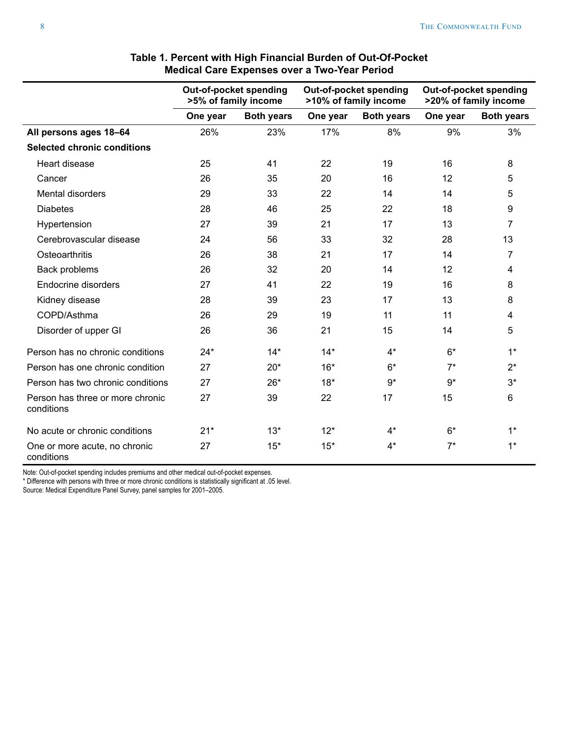<span id="page-7-0"></span>

|                                                |          | Out-of-pocket spending<br>>5% of family income |          | Out-of-pocket spending<br>>10% of family income |          | Out-of-pocket spending<br>>20% of family income |
|------------------------------------------------|----------|------------------------------------------------|----------|-------------------------------------------------|----------|-------------------------------------------------|
|                                                | One year | <b>Both years</b>                              | One year | <b>Both years</b>                               | One year | <b>Both years</b>                               |
| All persons ages 18-64                         | 26%      | 23%                                            | 17%      | 8%                                              | 9%       | 3%                                              |
| <b>Selected chronic conditions</b>             |          |                                                |          |                                                 |          |                                                 |
| Heart disease                                  | 25       | 41                                             | 22       | 19                                              | 16       | 8                                               |
| Cancer                                         | 26       | 35                                             | 20       | 16                                              | 12       | 5                                               |
| Mental disorders                               | 29       | 33                                             | 22       | 14                                              | 14       | 5                                               |
| <b>Diabetes</b>                                | 28       | 46                                             | 25       | 22                                              | 18       | 9                                               |
| Hypertension                                   | 27       | 39                                             | 21       | 17                                              | 13       | 7                                               |
| Cerebrovascular disease                        | 24       | 56                                             | 33       | 32                                              | 28       | 13                                              |
| Osteoarthritis                                 | 26       | 38                                             | 21       | 17                                              | 14       | 7                                               |
| Back problems                                  | 26       | 32                                             | 20       | 14                                              | 12       | 4                                               |
| Endocrine disorders                            | 27       | 41                                             | 22       | 19                                              | 16       | 8                                               |
| Kidney disease                                 | 28       | 39                                             | 23       | 17                                              | 13       | 8                                               |
| COPD/Asthma                                    | 26       | 29                                             | 19       | 11                                              | 11       | $\overline{4}$                                  |
| Disorder of upper GI                           | 26       | 36                                             | 21       | 15                                              | 14       | 5                                               |
| Person has no chronic conditions               | $24*$    | $14*$                                          | $14*$    | $4^*$                                           | $6*$     | $1*$                                            |
| Person has one chronic condition               | 27       | $20*$                                          | $16*$    | $6*$                                            | $7*$     | $2^*$                                           |
| Person has two chronic conditions              | 27       | $26*$                                          | $18*$    | $9*$                                            | $9*$     | $3*$                                            |
| Person has three or more chronic<br>conditions | 27       | 39                                             | 22       | 17                                              | 15       | 6                                               |
| No acute or chronic conditions                 | $21*$    | $13*$                                          | $12*$    | $4^*$                                           | $6*$     | $1*$                                            |
| One or more acute, no chronic<br>conditions    | 27       | $15*$                                          | $15*$    | $4^*$                                           | $7^*$    | $1^*$                                           |

# **Table 1. Percent with High Financial Burden of Out-Of-Pocket Medical Care Expenses over a Two-Year Period**

Note: Out-of-pocket spending includes premiums and other medical out-of-pocket expenses.

\* Difference with persons with three or more chronic conditions is statistically significant at .05 level.

Source: Medical Expenditure Panel Survey, panel samples for 2001–2005.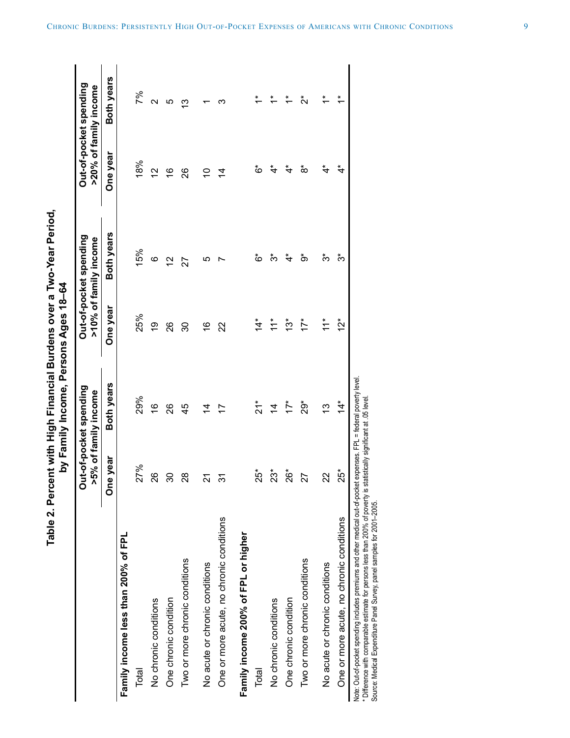**Table 2. Percent with High Financial Burdens over a Two-Year Period,**  Table 2. Percent with High Financial Burdens over a Two-Year Period, by Family Income. Persons Ages 18-64 **by Family Income, Persons Ages 18–64**

|                                                                                                                                                                                                                                                                                     |                | Out-of-pocket spending<br>>5% of family income |                           | Out-of-pocket spending<br>>10% of family income |                | Out-of-pocket spending<br>>20% of family income |
|-------------------------------------------------------------------------------------------------------------------------------------------------------------------------------------------------------------------------------------------------------------------------------------|----------------|------------------------------------------------|---------------------------|-------------------------------------------------|----------------|-------------------------------------------------|
|                                                                                                                                                                                                                                                                                     | e year<br>δ    | Both years                                     | One year                  | Both years                                      | One year       | Both years                                      |
| Family income less than 200% of FPL                                                                                                                                                                                                                                                 |                |                                                |                           |                                                 |                |                                                 |
| Total                                                                                                                                                                                                                                                                               | 27%            | 29%                                            | 25%                       | 15%                                             | 18%            | 7%                                              |
| No chronic conditions                                                                                                                                                                                                                                                               | 26             | $\frac{6}{1}$                                  | <u>ဝု</u>                 | ဖ                                               | 2              | $\mathbf{\Omega}$                               |
| One chronic condition                                                                                                                                                                                                                                                               | ვე             | 26                                             | 26                        | $\frac{1}{2}$                                   | $\frac{6}{5}$  | ပ                                               |
| Two or more chronic conditions                                                                                                                                                                                                                                                      | 28             | 45                                             | న్ల                       | 27                                              | 26             | ≌                                               |
| No acute or chronic conditions                                                                                                                                                                                                                                                      | 24             | 4                                              | $\frac{6}{1}$             | <u>၊ ဂ</u>                                      | S              |                                                 |
| One or more acute, no chronic conditions                                                                                                                                                                                                                                            | ᢛ              |                                                | 22                        |                                                 | $\overline{4}$ | ო                                               |
| Family income 200% of FPL or higher                                                                                                                                                                                                                                                 |                |                                                |                           |                                                 |                |                                                 |
| Total                                                                                                                                                                                                                                                                               | $25^*$         | $\frac{1}{2}$                                  | $\overset{*}{\downarrow}$ | ڽ                                               | ڽ              | $\stackrel{*}{\tau}$                            |
| No chronic conditions                                                                                                                                                                                                                                                               | $23*$          | $\overline{4}$                                 | $\ddot{=}$                | ကိ                                              | ₹              | $\stackrel{*}{\tau}$                            |
| One chronic condition                                                                                                                                                                                                                                                               | $26*$          | $17*$                                          | $\frac{1}{3}$             | $\overset{*}{\textbf{t}}$                       | ₹              | $\ddot{\tau}$                                   |
| Two or more chronic conditions                                                                                                                                                                                                                                                      | 27             | $29*$                                          | $17*$                     | စံ                                              | ံထ             | ំប                                              |
| No acute or chronic conditions                                                                                                                                                                                                                                                      | $\overline{2}$ | 13                                             | $11*$                     | సే                                              | $\ddot{\tau}$  | $\ddot{\tau}$                                   |
| One or more acute, no chronic conditions                                                                                                                                                                                                                                            | $25^*$         | $\overset{*}{4}$                               | $12*$                     | ້ຕ                                              | ₹4             | $\ddot{\tau}$                                   |
| Note: Out-of-pocket spending includes premiums and other medical out-of-pocket expenses. FPL = federal poverty level<br>* Difference with comparable estimate for persons less than 200% of poverty is st<br>Source: Medical Expenditure Panel Survey, panel samples for 2001-2005. |                | tatistically significant at .05 level.         |                           |                                                 |                |                                                 |

<span id="page-8-0"></span>CHRONIC BURDENS: PERSISTENTLY HIGH OUT-OF-POCKET EXPENSES OF AMERICANS WITH CHRONIC CONDITIONS f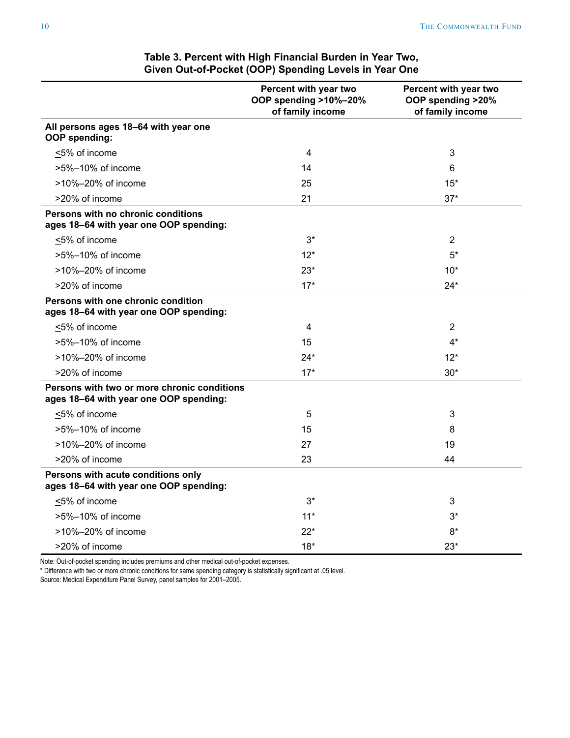<span id="page-9-0"></span>

|                                                                                       | Percent with year two<br>OOP spending >10%-20%<br>of family income | Percent with year two<br>OOP spending >20%<br>of family income |
|---------------------------------------------------------------------------------------|--------------------------------------------------------------------|----------------------------------------------------------------|
| All persons ages 18-64 with year one<br><b>OOP</b> spending:                          |                                                                    |                                                                |
| <5% of income                                                                         | 4                                                                  | 3                                                              |
| >5%-10% of income                                                                     | 14                                                                 | 6                                                              |
| >10%-20% of income                                                                    | 25                                                                 | $15*$                                                          |
| >20% of income                                                                        | 21                                                                 | $37*$                                                          |
| Persons with no chronic conditions<br>ages 18-64 with year one OOP spending:          |                                                                    |                                                                |
| $\leq$ 5% of income                                                                   | $3*$                                                               | $\overline{2}$                                                 |
| >5%-10% of income                                                                     | $12*$                                                              | 5*                                                             |
| >10%-20% of income                                                                    | $23*$                                                              | $10*$                                                          |
| >20% of income                                                                        | $17*$                                                              | 24*                                                            |
| Persons with one chronic condition<br>ages 18-64 with year one OOP spending:          |                                                                    |                                                                |
| <5% of income                                                                         | 4                                                                  | 2                                                              |
| >5%-10% of income                                                                     | 15                                                                 | 4*                                                             |
| >10%-20% of income                                                                    | $24*$                                                              | $12*$                                                          |
| >20% of income                                                                        | $17*$                                                              | $30*$                                                          |
| Persons with two or more chronic conditions<br>ages 18-64 with year one OOP spending: |                                                                    |                                                                |
| <5% of income                                                                         | 5                                                                  | 3                                                              |
| >5%-10% of income                                                                     | 15                                                                 | 8                                                              |
| $>10\% - 20\%$ of income                                                              | 27                                                                 | 19                                                             |
| >20% of income                                                                        | 23                                                                 | 44                                                             |
| Persons with acute conditions only<br>ages 18-64 with year one OOP spending:          |                                                                    |                                                                |
| ≤5% of income                                                                         | $3^*$                                                              | 3                                                              |
| >5%-10% of income                                                                     | $11*$                                                              | 3*                                                             |
| >10%-20% of income                                                                    | $22*$                                                              | $8*$                                                           |
| >20% of income                                                                        | $18*$                                                              | $23*$                                                          |

# **Table 3. Percent with High Financial Burden in Year Two, Given Out-of-Pocket (OOP) Spending Levels in Year One**

Note: Out-of-pocket spending includes premiums and other medical out-of-pocket expenses.

\* Difference with two or more chronic conditions for same spending category is statistically significant at .05 level.

Source: Medical Expenditure Panel Survey, panel samples for 2001–2005.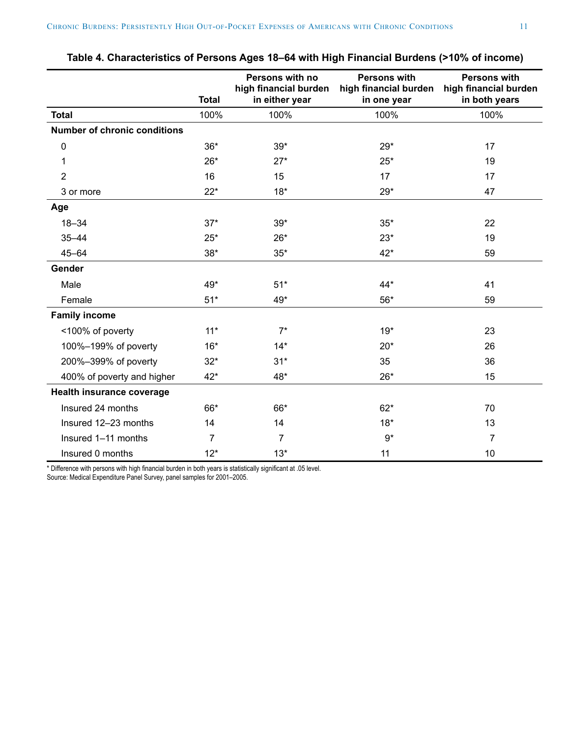<span id="page-10-0"></span>

|                                     | <b>Total</b> | Persons with no<br>high financial burden<br>in either year | <b>Persons with</b><br>high financial burden<br>in one year | <b>Persons with</b><br>high financial burden<br>in both years |
|-------------------------------------|--------------|------------------------------------------------------------|-------------------------------------------------------------|---------------------------------------------------------------|
| <b>Total</b>                        | 100%         | 100%                                                       | 100%                                                        | 100%                                                          |
| <b>Number of chronic conditions</b> |              |                                                            |                                                             |                                                               |
| $\pmb{0}$                           | $36*$        | $39*$                                                      | $29*$                                                       | 17                                                            |
| 1                                   | $26*$        | $27*$                                                      | $25*$                                                       | 19                                                            |
| $\overline{2}$                      | 16           | 15                                                         | 17                                                          | 17                                                            |
| 3 or more                           | $22*$        | $18*$                                                      | $29*$                                                       | 47                                                            |
| Age                                 |              |                                                            |                                                             |                                                               |
| $18 - 34$                           | $37*$        | $39*$                                                      | $35*$                                                       | 22                                                            |
| $35 - 44$                           | $25*$        | $26*$                                                      | $23*$                                                       | 19                                                            |
| $45 - 64$                           | $38*$        | $35*$                                                      | $42*$                                                       | 59                                                            |
| Gender                              |              |                                                            |                                                             |                                                               |
| Male                                | 49*          | $51*$                                                      | $44*$                                                       | 41                                                            |
| Female                              | $51*$        | 49*                                                        | 56*                                                         | 59                                                            |
| <b>Family income</b>                |              |                                                            |                                                             |                                                               |
| <100% of poverty                    | $11*$        | $7^*$                                                      | $19*$                                                       | 23                                                            |
| 100%-199% of poverty                | $16*$        | $14*$                                                      | $20*$                                                       | 26                                                            |
| 200%-399% of poverty                | $32*$        | $31*$                                                      | 35                                                          | 36                                                            |
| 400% of poverty and higher          | 42*          | 48*                                                        | $26*$                                                       | 15                                                            |
| Health insurance coverage           |              |                                                            |                                                             |                                                               |
| Insured 24 months                   | 66*          | 66*                                                        | $62*$                                                       | 70                                                            |
| Insured 12-23 months                | 14           | 14                                                         | $18*$                                                       | 13                                                            |
| Insured 1-11 months                 | 7            | 7                                                          | $9*$                                                        | $\overline{7}$                                                |
| Insured 0 months                    | $12*$        | $13*$                                                      | 11                                                          | 10                                                            |

| Table 4. Characteristics of Persons Ages 18–64 with High Financial Burdens (>10% of income) |  |  |  |
|---------------------------------------------------------------------------------------------|--|--|--|
|---------------------------------------------------------------------------------------------|--|--|--|

\* Difference with persons with high financial burden in both years is statistically significant at .05 level.

Source: Medical Expenditure Panel Survey, panel samples for 2001–2005.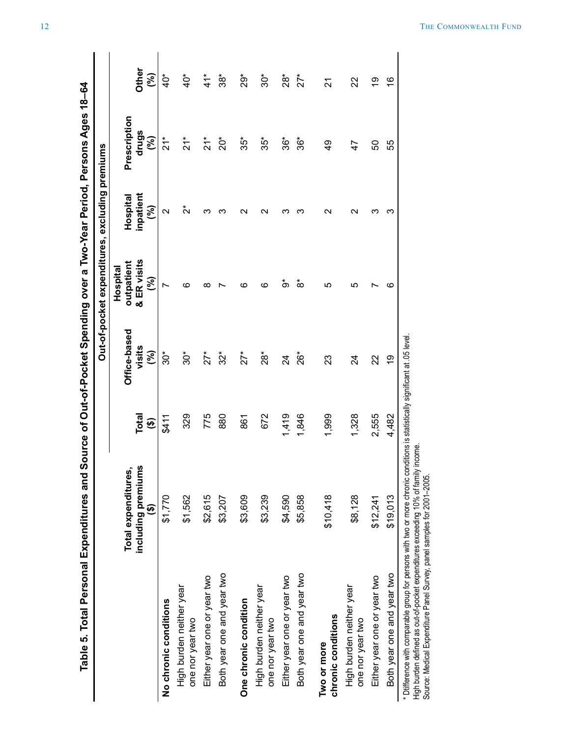| $\frac{1}{2}$         |
|-----------------------|
| J                     |
|                       |
|                       |
|                       |
|                       |
|                       |
|                       |
|                       |
|                       |
| 150<br>  150<br>  151 |
|                       |
|                       |
|                       |
|                       |
|                       |
|                       |
|                       |
| $\ddot{\phantom{0}}$  |
| i aco V ou li         |
|                       |
|                       |
| りょこ るまし               |
|                       |
|                       |
|                       |
| ここく                   |
|                       |
| )                     |
|                       |
|                       |
|                       |
|                       |
|                       |
|                       |
|                       |
| $\vdots$              |
|                       |
|                       |
| ļ                     |
|                       |
|                       |
|                       |
|                       |
|                       |
|                       |
|                       |
|                       |
| )<br>5)<br>5)         |
|                       |
|                       |
|                       |
|                       |
| .<br>(<br>(           |
|                       |
|                       |
|                       |
|                       |
|                       |
| ີຣ ar                 |
|                       |
|                       |
|                       |
|                       |
|                       |
|                       |
|                       |
|                       |
|                       |
|                       |
|                       |
|                       |
|                       |
|                       |
|                       |
|                       |
|                       |
|                       |
|                       |
|                       |
|                       |
|                       |
|                       |

|                                                                                                                                                                                                                                                                                     | Table 5. Total Personal Expenditures and Source of Pocket Spending over a Two-Year Period, Persons Ages 18–64 |                                 |                                         |                                                |                             |                                                  |                            |
|-------------------------------------------------------------------------------------------------------------------------------------------------------------------------------------------------------------------------------------------------------------------------------------|---------------------------------------------------------------------------------------------------------------|---------------------------------|-----------------------------------------|------------------------------------------------|-----------------------------|--------------------------------------------------|----------------------------|
|                                                                                                                                                                                                                                                                                     |                                                                                                               |                                 |                                         | Out-of-pocket expenditures, excluding premiums |                             |                                                  |                            |
|                                                                                                                                                                                                                                                                                     |                                                                                                               |                                 |                                         | Hospital                                       |                             |                                                  |                            |
|                                                                                                                                                                                                                                                                                     | including premiums<br>Total expenditures,<br>$\widehat{\mathbf{e}}$                                           | Total<br>$\widehat{\mathbf{e}}$ | Office-based<br>visits<br>$\mathcal{S}$ | & ER visits<br>outpatient<br>રી                | inpatient<br>Hospital<br>ි) | Prescription<br>drugs<br>$\widehat{\mathcal{E}}$ | Other<br>$\mathcal{S}$     |
| No chronic conditions                                                                                                                                                                                                                                                               | \$1,770                                                                                                       | \$411                           | 30*                                     |                                                | N                           | $\frac{1}{2}$                                    | ₫°                         |
| High burden neither year<br>one nor year two                                                                                                                                                                                                                                        | \$1,562                                                                                                       | 329                             | $30*$                                   | ဖ                                              | ័                           | $\frac{1}{2}$                                    | $\ddot{Q}^*$               |
| Either year one or year two                                                                                                                                                                                                                                                         | \$2,615                                                                                                       | 775                             | $\zeta^*$                               | ∞                                              |                             | $\frac{1}{2}$                                    | $\stackrel{*}{\downarrow}$ |
| Both year one and year two                                                                                                                                                                                                                                                          | \$3,207                                                                                                       | 880                             | $32*$                                   |                                                |                             | $20*$                                            | အိ                         |
| One chronic condition                                                                                                                                                                                                                                                               | \$3,609                                                                                                       | 861                             | $27*$                                   | ဖ                                              | $\mathsf{\alpha}$           | $35*$                                            | ż9*                        |
| High burden neither year<br>one nor year two                                                                                                                                                                                                                                        | \$3,239                                                                                                       | 672                             | $\rm \overset{*}{\approx}$              | ဖ                                              | $\sim$                      | $35*$                                            | \$Č                        |
| Either year one or year two                                                                                                                                                                                                                                                         | \$4,590                                                                                                       | 1,419                           | 24                                      | စံ                                             |                             | $36*$                                            | $28^*$                     |
| Both year one and year two                                                                                                                                                                                                                                                          | \$5,858                                                                                                       | 1,846                           | $26*$                                   | စံ                                             |                             | $36*$                                            | $27^{*}$                   |
| chronic conditions<br>Two or more                                                                                                                                                                                                                                                   | \$10,418                                                                                                      | 1,999                           | 23                                      | LΩ                                             | $\scriptstyle\mathtt{N}$    | $\frac{1}{4}$                                    | 24                         |
| High burden neither year<br>one nor year two                                                                                                                                                                                                                                        | \$8,128                                                                                                       | 1,328                           | 24                                      | LO                                             | Ν                           | $\overline{4}$                                   | 22                         |
| Either year one or year two                                                                                                                                                                                                                                                         | \$12,241                                                                                                      | 2,555                           | 22                                      |                                                | ო                           | 50                                               | စ္                         |
| Both year one and year two                                                                                                                                                                                                                                                          | \$19,013                                                                                                      | 4,482                           | <u>ဝှ</u>                               | ဖ                                              | ო                           | 55                                               | $\overset{\circ}{\tau}$    |
| * Difference with comparable group for persons with two or more chronic conditions is statistically significant at .05 level<br>High burden defined as out-of-pocket expenditures exceeding 10% of family<br>Source: Medical Expenditure Panel Survey, panel samples for 2001-2005. | income.                                                                                                       |                                 |                                         |                                                |                             |                                                  |                            |

<span id="page-11-0"></span>12 THE COMMONWEALTH FUND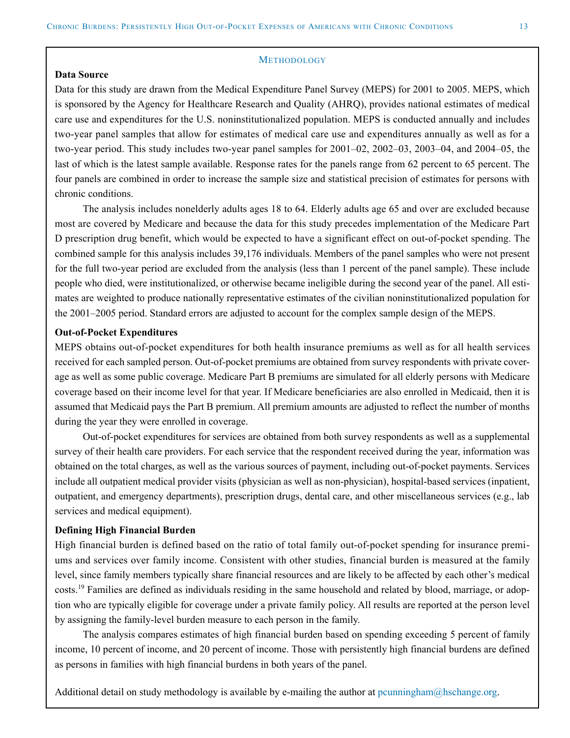#### **METHODOLOGY**

## **Data Source**

Data for this study are drawn from the Medical Expenditure Panel Survey (MEPS) for 2001 to 2005. MEPS, which is sponsored by the Agency for Healthcare Research and Quality (AHRQ), provides national estimates of medical care use and expenditures for the U.S. noninstitutionalized population. MEPS is conducted annually and includes two-year panel samples that allow for estimates of medical care use and expenditures annually as well as for a two-year period. This study includes two-year panel samples for 2001–02, 2002–03, 2003–04, and 2004–05, the last of which is the latest sample available. Response rates for the panels range from 62 percent to 65 percent. The four panels are combined in order to increase the sample size and statistical precision of estimates for persons with chronic conditions.

The analysis includes nonelderly adults ages 18 to 64. Elderly adults age 65 and over are excluded because most are covered by Medicare and because the data for this study precedes implementation of the Medicare Part D prescription drug benefit, which would be expected to have a significant effect on out-of-pocket spending. The combined sample for this analysis includes 39,176 individuals. Members of the panel samples who were not present for the full two-year period are excluded from the analysis (less than 1 percent of the panel sample). These include people who died, were institutionalized, or otherwise became ineligible during the second year of the panel. All estimates are weighted to produce nationally representative estimates of the civilian noninstitutionalized population for the 2001–2005 period. Standard errors are adjusted to account for the complex sample design of the MEPS.

#### **Out-of-Pocket Expenditures**

MEPS obtains out-of-pocket expenditures for both health insurance premiums as well as for all health services received for each sampled person. Out-of-pocket premiums are obtained from survey respondents with private coverage as well as some public coverage. Medicare Part B premiums are simulated for all elderly persons with Medicare coverage based on their income level for that year. If Medicare beneficiaries are also enrolled in Medicaid, then it is assumed that Medicaid pays the Part B premium. All premium amounts are adjusted to reflect the number of months during the year they were enrolled in coverage.

Out-of-pocket expenditures for services are obtained from both survey respondents as well as a supplemental survey of their health care providers. For each service that the respondent received during the year, information was obtained on the total charges, as well as the various sources of payment, including out-of-pocket payments. Services include all outpatient medical provider visits (physician as well as non-physician), hospital-based services (inpatient, outpatient, and emergency departments), prescription drugs, dental care, and other miscellaneous services (e.g., lab services and medical equipment).

#### **Defining High Financial Burden**

High financial burden is defined based on the ratio of total family out-of-pocket spending for insurance premiums and services over family income. Consistent with other studies, financial burden is measured at the family level, since family members typically share financial resources and are likely to be affected by each other's medical costs.<sup>19</sup> Families are defined as individuals residing in the same household and related by blood, marriage, or adoption who are typically eligible for coverage under a private family policy. All results are reported at the person level by assigning the family-level burden measure to each person in the family.

The analysis compares estimates of high financial burden based on spending exceeding 5 percent of family income, 10 percent of income, and 20 percent of income. Those with persistently high financial burdens are defined as persons in families with high financial burdens in both years of the panel.

Additional detail on study methodology is available by e-mailing the author at [pcunningham@hschange.org](mailto:pcunningham@hschange.org).